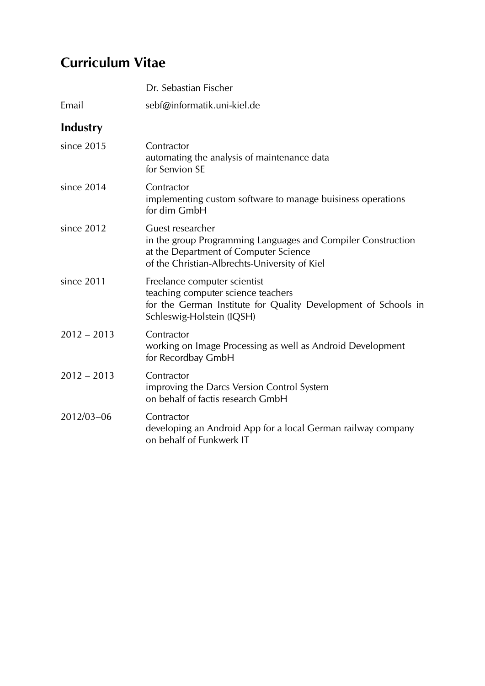## Curriculum Vitae

|               | Dr. Sebastian Fischer                                                                                                                                                      |
|---------------|----------------------------------------------------------------------------------------------------------------------------------------------------------------------------|
| Email         | sebf@informatik.uni-kiel.de                                                                                                                                                |
| Industry      |                                                                                                                                                                            |
| since 2015    | Contractor<br>automating the analysis of maintenance data<br>for Senvion SE                                                                                                |
| since 2014    | Contractor<br>implementing custom software to manage buisiness operations<br>for dim GmbH                                                                                  |
| since 2012    | Guest researcher<br>in the group Programming Languages and Compiler Construction<br>at the Department of Computer Science<br>of the Christian-Albrechts-University of Kiel |
| since 2011    | Freelance computer scientist<br>teaching computer science teachers<br>for the German Institute for Quality Development of Schools in<br>Schleswig-Holstein (IQSH)          |
| $2012 - 2013$ | Contractor<br>working on Image Processing as well as Android Development<br>for Recordbay GmbH                                                                             |
| $2012 - 2013$ | Contractor<br>improving the Darcs Version Control System<br>on behalf of factis research GmbH                                                                              |
| 2012/03-06    | Contractor<br>developing an Android App for a local German railway company<br>on behalf of Funkwerk IT                                                                     |